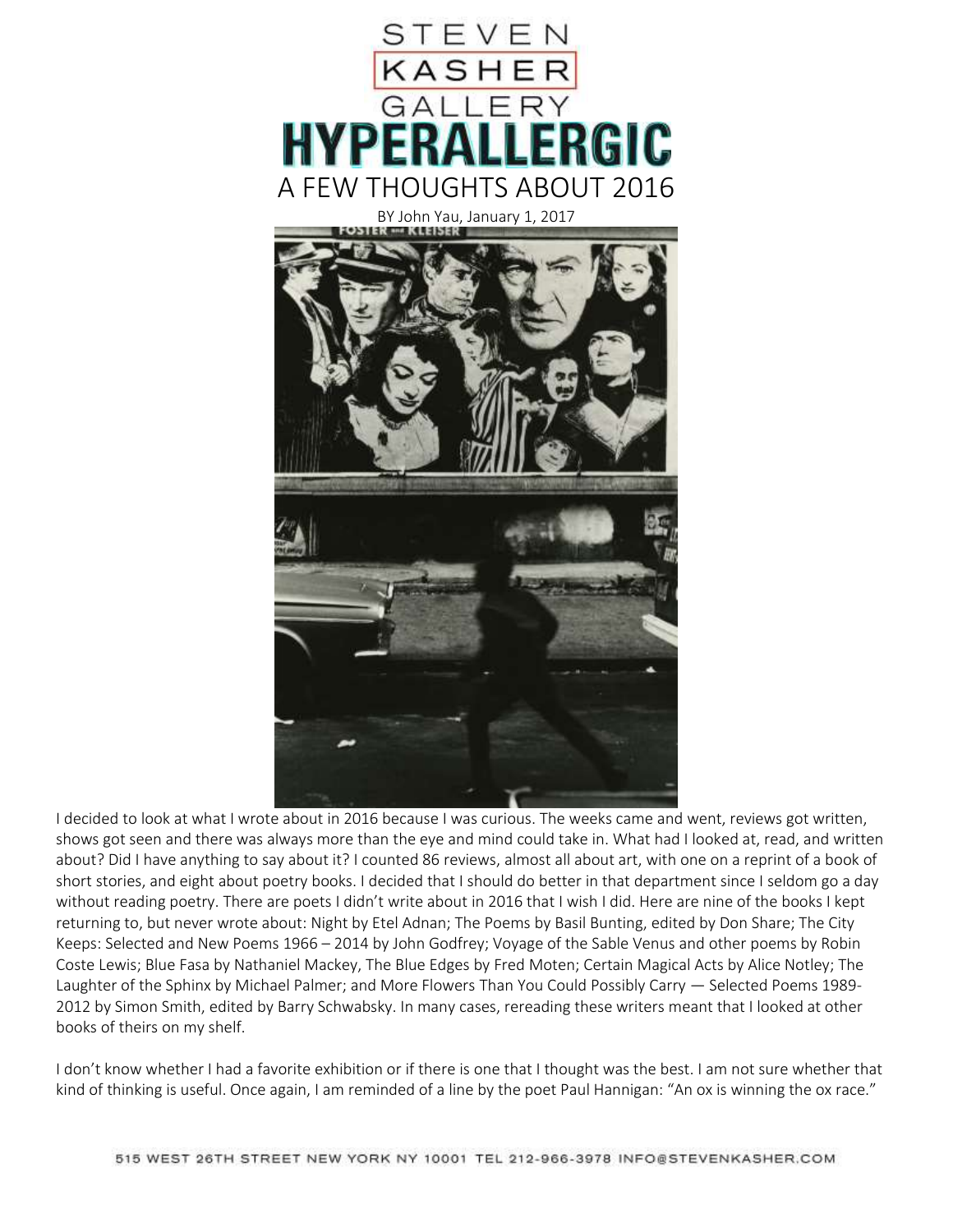

I decided to look at what I wrote about in 2016 because I was curious. The weeks came and went, reviews got written, shows got seen and there was always more than the eye and mind could take in. What had I looked at, read, and written about? Did I have anything to say about it? I counted 86 reviews, almost all about art, with one on a reprint of a book of short stories, and eight about poetry books. I decided that I should do better in that department since I seldom go a day without reading poetry. There are poets I didn't write about in 2016 that I wish I did. Here are nine of the books I kept returning to, but never wrote about: Night by Etel Adnan; The Poems by Basil Bunting, edited by Don Share; The City Keeps: Selected and New Poems 1966 – 2014 by John Godfrey; Voyage of the Sable Venus and other poems by Robin Coste Lewis; Blue Fasa by Nathaniel Mackey, The Blue Edges by Fred Moten; Certain Magical Acts by Alice Notley; The Laughter of the Sphinx by Michael Palmer; and More Flowers Than You Could Possibly Carry — Selected Poems 1989- 2012 by Simon Smith, edited by Barry Schwabsky. In many cases, rereading these writers meant that I looked at other books of theirs on my shelf.

I don't know whether I had a favorite exhibition or if there is one that I thought was the best. I am not sure whether that kind of thinking is useful. Once again, I am reminded of a line by the poet Paul Hannigan: "An ox is winning the ox race."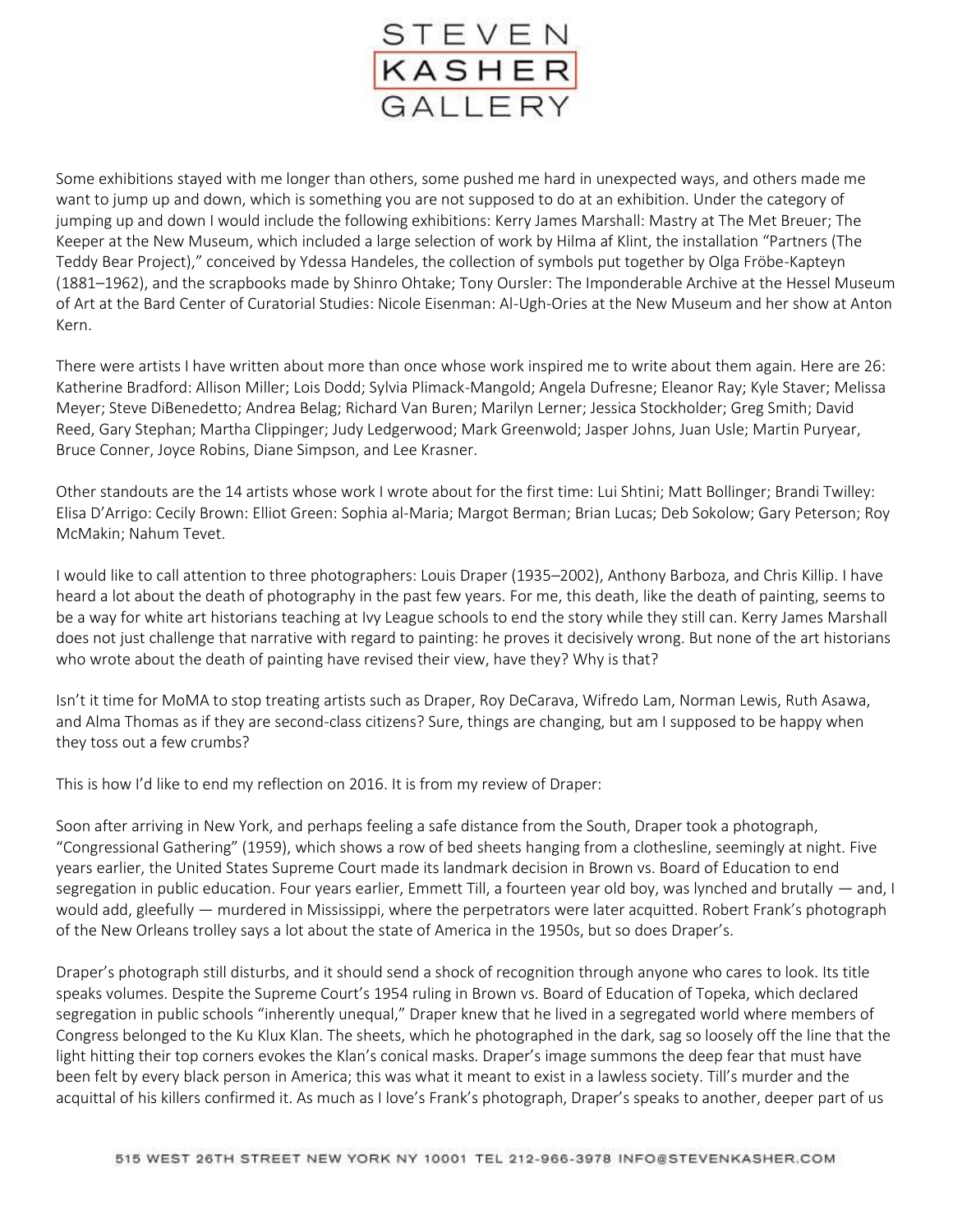

Some exhibitions stayed with me longer than others, some pushed me hard in unexpected ways, and others made me want to jump up and down, which is something you are not supposed to do at an exhibition. Under the category of jumping up and down I would include the following exhibitions: Kerry James Marshall: Mastry at The Met Breuer; The Keeper at the New Museum, which included a large selection of work by Hilma af Klint, the installation "Partners (The Teddy Bear Project)," conceived by Ydessa Handeles, the collection of symbols put together by Olga Fröbe-Kapteyn (1881–1962), and the scrapbooks made by Shinro Ohtake; Tony Oursler: The Imponderable Archive at the Hessel Museum of Art at the Bard Center of Curatorial Studies: Nicole Eisenman: Al-Ugh-Ories at the New Museum and her show at Anton Kern.

There were artists I have written about more than once whose work inspired me to write about them again. Here are 26: Katherine Bradford: Allison Miller; Lois Dodd; Sylvia Plimack-Mangold; Angela Dufresne; Eleanor Ray; Kyle Staver; Melissa Meyer; Steve DiBenedetto; Andrea Belag; Richard Van Buren; Marilyn Lerner; Jessica Stockholder; Greg Smith; David Reed, Gary Stephan; Martha Clippinger; Judy Ledgerwood; Mark Greenwold; Jasper Johns, Juan Usle; Martin Puryear, Bruce Conner, Joyce Robins, Diane Simpson, and Lee Krasner.

Other standouts are the 14 artists whose work I wrote about for the first time: Lui Shtini; Matt Bollinger; Brandi Twilley: Elisa D'Arrigo: Cecily Brown: Elliot Green: Sophia al-Maria; Margot Berman; Brian Lucas; Deb Sokolow; Gary Peterson; Roy McMakin; Nahum Tevet.

I would like to call attention to three photographers: Louis Draper (1935–2002), Anthony Barboza, and Chris Killip. I have heard a lot about the death of photography in the past few years. For me, this death, like the death of painting, seems to be a way for white art historians teaching at Ivy League schools to end the story while they still can. Kerry James Marshall does not just challenge that narrative with regard to painting: he proves it decisively wrong. But none of the art historians who wrote about the death of painting have revised their view, have they? Why is that?

Isn't it time for MoMA to stop treating artists such as Draper, Roy DeCarava, Wifredo Lam, Norman Lewis, Ruth Asawa, and Alma Thomas as if they are second-class citizens? Sure, things are changing, but am I supposed to be happy when they toss out a few crumbs?

This is how I'd like to end my reflection on 2016. It is from my review of Draper:

Soon after arriving in New York, and perhaps feeling a safe distance from the South, Draper took a photograph, "Congressional Gathering" (1959), which shows a row of bed sheets hanging from a clothesline, seemingly at night. Five years earlier, the United States Supreme Court made its landmark decision in Brown vs. Board of Education to end segregation in public education. Four years earlier, Emmett Till, a fourteen year old boy, was lynched and brutally — and, I would add, gleefully — murdered in Mississippi, where the perpetrators were later acquitted. Robert Frank's photograph of the New Orleans trolley says a lot about the state of America in the 1950s, but so does Draper's.

Draper's photograph still disturbs, and it should send a shock of recognition through anyone who cares to look. Its title speaks volumes. Despite the Supreme Court's 1954 ruling in Brown vs. Board of Education of Topeka, which declared segregation in public schools "inherently unequal," Draper knew that he lived in a segregated world where members of Congress belonged to the Ku Klux Klan. The sheets, which he photographed in the dark, sag so loosely off the line that the light hitting their top corners evokes the Klan's conical masks. Draper's image summons the deep fear that must have been felt by every black person in America; this was what it meant to exist in a lawless society. Till's murder and the acquittal of his killers confirmed it. As much as I love's Frank's photograph, Draper's speaks to another, deeper part of us